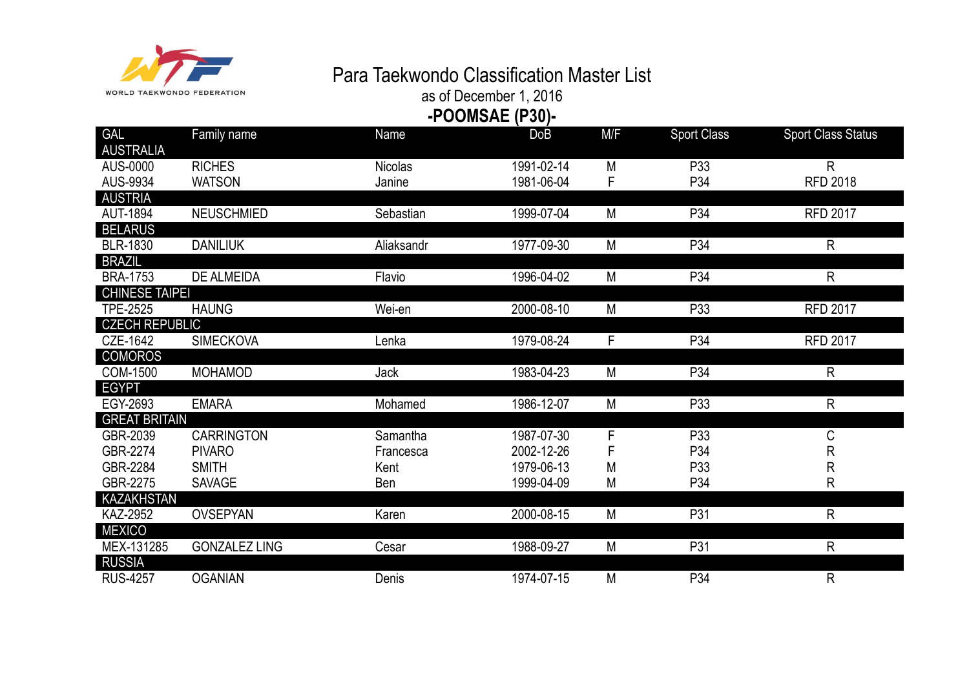

## Para Taekwondo Classification Master List

as of December 1, 2016 **-POOMSAE (P30)-**

| <b>GAL</b>                           | Family name          | Name           | <b>DoB</b> | M/F | <b>Sport Class</b> | <b>Sport Class Status</b> |
|--------------------------------------|----------------------|----------------|------------|-----|--------------------|---------------------------|
| <b>AUSTRALIA</b>                     |                      |                |            |     |                    |                           |
| AUS-0000                             | <b>RICHES</b>        | <b>Nicolas</b> | 1991-02-14 | M   | P33                | $\mathsf{R}$              |
| AUS-9934                             | <b>WATSON</b>        | Janine         | 1981-06-04 | F   | P34                | <b>RFD 2018</b>           |
| <b>AUSTRIA</b>                       |                      |                |            |     |                    |                           |
| <b>AUT-1894</b>                      | <b>NEUSCHMIED</b>    | Sebastian      | 1999-07-04 | M   | P34                | <b>RFD 2017</b>           |
| <b>BELARUS</b>                       |                      |                |            |     |                    |                           |
| <b>BLR-1830</b>                      | <b>DANILIUK</b>      | Aliaksandr     | 1977-09-30 | M   | P34                | R                         |
| <b>BRAZIL</b>                        |                      |                |            |     |                    |                           |
| <b>BRA-1753</b>                      | DE ALMEIDA           | Flavio         | 1996-04-02 | M   | P34                | $\mathsf{R}$              |
| <b>CHINESE TAIPEI</b>                |                      |                |            |     |                    |                           |
| <b>TPE-2525</b>                      | <b>HAUNG</b>         | Wei-en         | 2000-08-10 | M   | P33                | <b>RFD 2017</b>           |
| <b>CZECH REPUBLIC</b>                |                      |                |            |     |                    |                           |
| CZE-1642                             | <b>SIMECKOVA</b>     | Lenka          | 1979-08-24 | F   | P34                | <b>RFD 2017</b>           |
| <b>COMOROS</b>                       |                      |                |            |     |                    |                           |
| <b>COM-1500</b>                      | <b>MOHAMOD</b>       | <b>Jack</b>    | 1983-04-23 | M   | P34                | $\mathsf{R}$              |
| <b>EGYPT</b>                         |                      |                |            |     |                    |                           |
| EGY-2693                             | <b>EMARA</b>         | Mohamed        | 1986-12-07 | M   | P33                | R                         |
| <b>GREAT BRITAIN</b>                 |                      |                |            |     |                    |                           |
| GBR-2039                             | <b>CARRINGTON</b>    | Samantha       | 1987-07-30 | F   | P33                | С                         |
| GBR-2274                             | <b>PIVARO</b>        | Francesca      | 2002-12-26 |     | P34                | R                         |
| GBR-2284                             | <b>SMITH</b>         | Kent           | 1979-06-13 | M   | P33                | R                         |
| GBR-2275                             | <b>SAVAGE</b>        | Ben            | 1999-04-09 | M   | P34                | R                         |
| <b>KAZAKHSTAN</b><br><b>KAZ-2952</b> |                      |                | 2000-08-15 |     | P31                |                           |
| <b>MEXICO</b>                        | <b>OVSEPYAN</b>      | Karen          |            | M   |                    | $\mathsf{R}$              |
| MEX-131285                           | <b>GONZALEZ LING</b> | Cesar          | 1988-09-27 | M   | P31                | R                         |
| <b>RUSSIA</b>                        |                      |                |            |     |                    |                           |
| <b>RUS-4257</b>                      | <b>OGANIAN</b>       | Denis          | 1974-07-15 | M   | P34                | $\mathsf R$               |